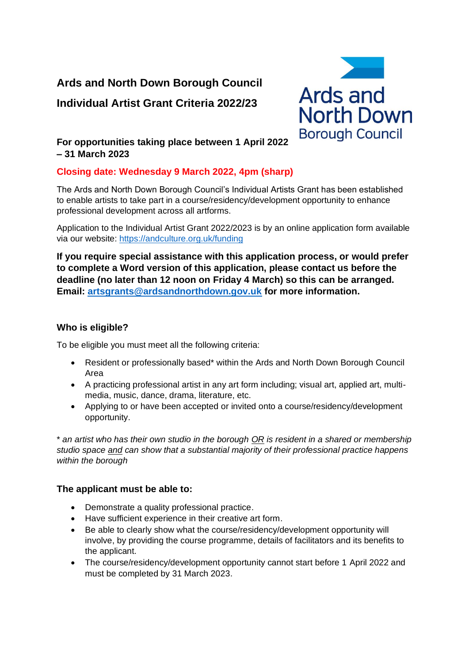# **Ards and North Down Borough Council Individual Artist Grant Criteria 2022/23**



## **For opportunities taking place between 1 April 2022 – 31 March 2023**

## **Closing date: Wednesday 9 March 2022, 4pm (sharp)**

The Ards and North Down Borough Council's Individual Artists Grant has been established to enable artists to take part in a course/residency/development opportunity to enhance professional development across all artforms.

Application to the Individual Artist Grant 2022/2023 is by an online application form available via our website: <https://andculture.org.uk/funding>

**If you require special assistance with this application process, or would prefer to complete a Word version of this application, please contact us before the deadline (no later than 12 noon on Friday 4 March) so this can be arranged. Email: [artsgrants@ardsandnorthdown.gov.uk](mailto:artsgrants@ardsandnorthdown.gov.uk) for more information.**

## **Who is eligible?**

To be eligible you must meet all the following criteria:

- Resident or professionally based\* within the Ards and North Down Borough Council Area
- A practicing professional artist in any art form including; visual art, applied art, multimedia, music, dance, drama, literature, etc.
- Applying to or have been accepted or invited onto a course/residency/development opportunity.

\* *an artist who has their own studio in the borough OR is resident in a shared or membership studio space and can show that a substantial majority of their professional practice happens within the borough*

## **The applicant must be able to:**

- Demonstrate a quality professional practice.
- Have sufficient experience in their creative art form.
- Be able to clearly show what the course/residency/development opportunity will involve, by providing the course programme, details of facilitators and its benefits to the applicant.
- The course/residency/development opportunity cannot start before 1 April 2022 and must be completed by 31 March 2023.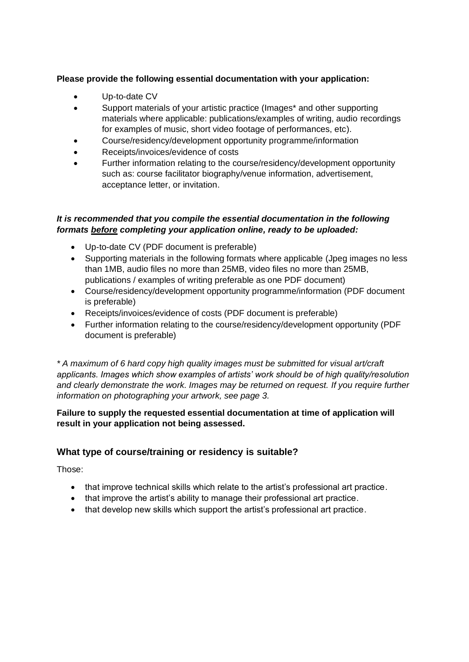### **Please provide the following essential documentation with your application:**

- Up-to-date CV
- Support materials of your artistic practice (Images\* and other supporting materials where applicable: publications/examples of writing, audio recordings for examples of music, short video footage of performances, etc).
- Course/residency/development opportunity programme/information
- Receipts/invoices/evidence of costs
- Further information relating to the course/residency/development opportunity such as: course facilitator biography/venue information, advertisement, acceptance letter, or invitation.

#### *It is recommended that you compile the essential documentation in the following formats before completing your application online, ready to be uploaded:*

- Up-to-date CV (PDF document is preferable)
- Supporting materials in the following formats where applicable (Jpeg images no less than 1MB, audio files no more than 25MB, video files no more than 25MB, publications / examples of writing preferable as one PDF document)
- Course/residency/development opportunity programme/information (PDF document is preferable)
- Receipts/invoices/evidence of costs (PDF document is preferable)
- Further information relating to the course/residency/development opportunity (PDF document is preferable)

*\* A maximum of 6 hard copy high quality images must be submitted for visual art/craft applicants. Images which show examples of artists' work should be of high quality/resolution and clearly demonstrate the work. Images may be returned on request. If you require further information on photographing your artwork, see page 3.*

#### **Failure to supply the requested essential documentation at time of application will result in your application not being assessed.**

## **What type of course/training or residency is suitable?**

Those:

- that improve technical skills which relate to the artist's professional art practice.
- that improve the artist's ability to manage their professional art practice.
- that develop new skills which support the artist's professional art practice.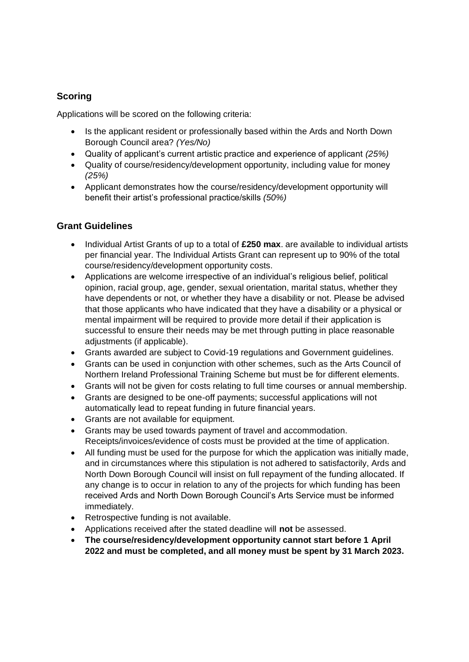## **Scoring**

Applications will be scored on the following criteria:

- Is the applicant resident or professionally based within the Ards and North Down Borough Council area? *(Yes/No)*
- Quality of applicant's current artistic practice and experience of applicant *(25%)*
- Quality of course/residency/development opportunity, including value for money *(25%)*
- Applicant demonstrates how the course/residency/development opportunity will benefit their artist's professional practice/skills *(50%)*

## **Grant Guidelines**

- Individual Artist Grants of up to a total of **£250 max**. are available to individual artists per financial year. The Individual Artists Grant can represent up to 90% of the total course/residency/development opportunity costs.
- Applications are welcome irrespective of an individual's religious belief, political opinion, racial group, age, gender, sexual orientation, marital status, whether they have dependents or not, or whether they have a disability or not. Please be advised that those applicants who have indicated that they have a disability or a physical or mental impairment will be required to provide more detail if their application is successful to ensure their needs may be met through putting in place reasonable adjustments (if applicable).
- Grants awarded are subject to Covid-19 regulations and Government guidelines.
- Grants can be used in conjunction with other schemes, such as the Arts Council of Northern Ireland Professional Training Scheme but must be for different elements.
- Grants will not be given for costs relating to full time courses or annual membership.
- Grants are designed to be one-off payments; successful applications will not automatically lead to repeat funding in future financial years.
- Grants are not available for equipment.
- Grants may be used towards payment of travel and accommodation. Receipts/invoices/evidence of costs must be provided at the time of application.
- All funding must be used for the purpose for which the application was initially made, and in circumstances where this stipulation is not adhered to satisfactorily, Ards and North Down Borough Council will insist on full repayment of the funding allocated. If any change is to occur in relation to any of the projects for which funding has been received Ards and North Down Borough Council's Arts Service must be informed immediately.
- Retrospective funding is not available.
- Applications received after the stated deadline will **not** be assessed.
- **The course/residency/development opportunity cannot start before 1 April 2022 and must be completed, and all money must be spent by 31 March 2023.**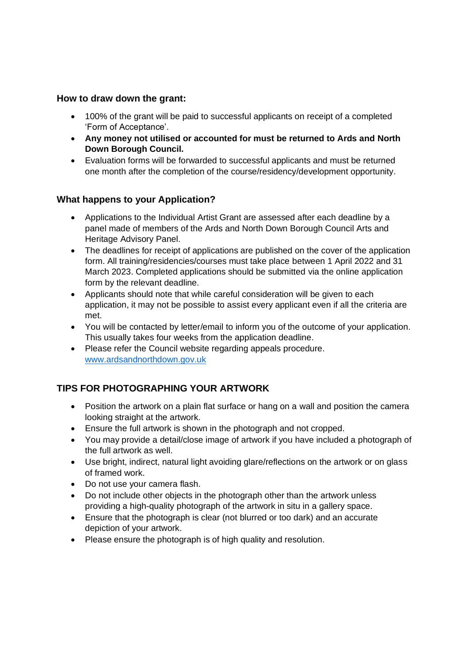#### **How to draw down the grant:**

- 100% of the grant will be paid to successful applicants on receipt of a completed 'Form of Acceptance'.
- **Any money not utilised or accounted for must be returned to Ards and North Down Borough Council.**
- Evaluation forms will be forwarded to successful applicants and must be returned one month after the completion of the course/residency/development opportunity.

#### **What happens to your Application?**

- Applications to the Individual Artist Grant are assessed after each deadline by a panel made of members of the Ards and North Down Borough Council Arts and Heritage Advisory Panel.
- The deadlines for receipt of applications are published on the cover of the application form. All training/residencies/courses must take place between 1 April 2022 and 31 March 2023. Completed applications should be submitted via the online application form by the relevant deadline.
- Applicants should note that while careful consideration will be given to each application, it may not be possible to assist every applicant even if all the criteria are met.
- You will be contacted by letter/email to inform you of the outcome of your application. This usually takes four weeks from the application deadline.
- Please refer the Council website regarding appeals procedure. [www.ardsandnorthdown.gov.uk](http://www.ardsandnorthdown.gov.uk/)

# **TIPS FOR PHOTOGRAPHING YOUR ARTWORK**

- Position the artwork on a plain flat surface or hang on a wall and position the camera looking straight at the artwork.
- Ensure the full artwork is shown in the photograph and not cropped.
- You may provide a detail/close image of artwork if you have included a photograph of the full artwork as well.
- Use bright, indirect, natural light avoiding glare/reflections on the artwork or on glass of framed work.
- Do not use your camera flash.
- Do not include other objects in the photograph other than the artwork unless providing a high-quality photograph of the artwork in situ in a gallery space.
- Ensure that the photograph is clear (not blurred or too dark) and an accurate depiction of your artwork.
- Please ensure the photograph is of high quality and resolution.